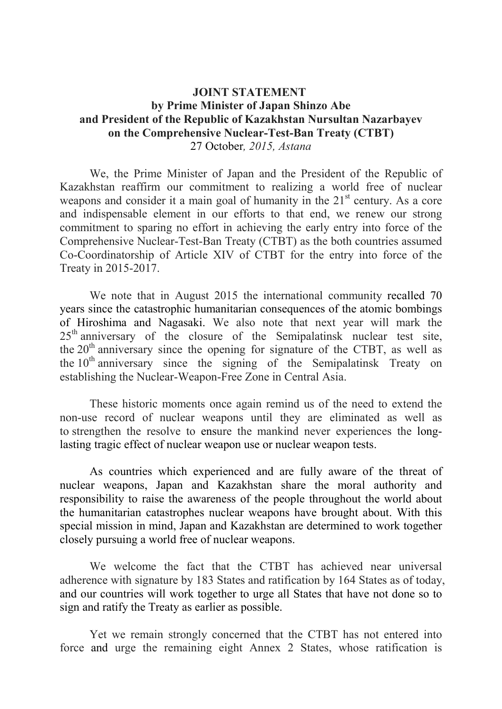## **JOINT STATEMENT by Prime Minister of Japan Shinzo Abe and President of the Republic of Kazakhstan Nursultan Nazarbayev on the Comprehensive Nuclear-Test-Ban Treaty (CTBT)** 27 October*, 2015, Astana*

We, the Prime Minister of Japan and the President of the Republic of Kazakhstan reaffirm our commitment to realizing a world free of nuclear weapons and consider it a main goal of humanity in the  $21<sup>st</sup>$  century. As a core and indispensable element in our efforts to that end, we renew our strong commitment to sparing no effort in achieving the early entry into force of the Comprehensive Nuclear-Test-Ban Treaty (CTBT) as the both countries assumed Co-Coordinatorship of Article XIV of CTBT for the entry into force of the Treaty in 2015-2017.

We note that in August 2015 the international community recalled 70 years since the catastrophic humanitarian consequences of the atomic bombings of Hiroshima and Nagasaki. We also note that next year will mark the 25<sup>th</sup> anniversary of the closure of the Semipalatinsk nuclear test site, the 20<sup>th</sup> anniversary since the opening for signature of the CTBT, as well as the 10<sup>th</sup> anniversary since the signing of the Semipalatinsk Treaty on establishing the Nuclear-Weapon-Free Zone in Central Asia.

These historic moments once again remind us of the need to extend the non-use record of nuclear weapons until they are eliminated as well as to strengthen the resolve to ensure the mankind never experiences the longlasting tragic effect of nuclear weapon use or nuclear weapon tests.

As countries which experienced and are fully aware of the threat of nuclear weapons, Japan and Kazakhstan share the moral authority and responsibility to raise the awareness of the people throughout the world about the humanitarian catastrophes nuclear weapons have brought about. With this special mission in mind, Japan and Kazakhstan are determined to work together closely pursuing a world free of nuclear weapons.

We welcome the fact that the CTBT has achieved near universal adherence with signature by 183 States and ratification by 164 States as of today, and our countries will work together to urge all States that have not done so to sign and ratify the Treaty as earlier as possible.

Yet we remain strongly concerned that the CTBT has not entered into force and urge the remaining eight Annex 2 States, whose ratification is